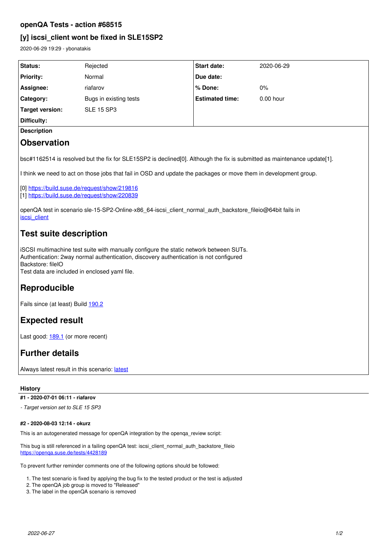### **openQA Tests - action #68515**

### **[y] iscsi\_client wont be fixed in SLE15SP2**

2020-06-29 19:29 - ybonatakis

| <b>Status:</b>     | Rejected               | <b>Start date:</b>     | 2020-06-29  |
|--------------------|------------------------|------------------------|-------------|
| <b>Priority:</b>   | Normal                 | Due date:              |             |
| Assignee:          | riafarov               | % Done:                | $0\%$       |
| Category:          | Bugs in existing tests | <b>Estimated time:</b> | $0.00$ hour |
| Target version:    | <b>SLE 15 SP3</b>      |                        |             |
| Difficulty:        |                        |                        |             |
| <b>Description</b> |                        |                        |             |
| <b>Observation</b> |                        |                        |             |

bsc#1162514 is resolved but the fix for SLE15SP2 is declined[0]. Although the fix is submitted as maintenance update[1].

I think we need to act on those jobs that fail in OSD and update the packages or move them in development group.

[0] <https://build.suse.de/request/show/219816>

[1] <https://build.suse.de/request/show/220839>

openQA test in scenario sle-15-SP2-Online-x86\_64-iscsi\_client\_normal\_auth\_backstore\_fileio@64bit fails in [iscsi\\_client](https://openqa.suse.de/tests/4399148/modules/iscsi_client/steps/64)

# **Test suite description**

iSCSI multimachine test suite with manually configure the static network between SUTs. Authentication: 2way normal authentication, discovery authentication is not configured Backstore: fileIO Test data are included in enclosed yaml file.

## **Reproducible**

Fails since (at least) Build [190.2](https://openqa.suse.de/tests/4222729)

## **Expected result**

Last good: [189.1](https://openqa.suse.de/tests/4201288) (or more recent)

### **Further details**

Always [latest](https://openqa.suse.de/tests/latest?arch=x86_64&distri=sle&flavor=Online&machine=64bit&test=iscsi_client_normal_auth_backstore_fileio&version=15-SP2) result in this scenario: latest

#### **History**

**#1 - 2020-07-01 06:11 - riafarov**

*- Target version set to SLE 15 SP3*

#### **#2 - 2020-08-03 12:14 - okurz**

This is an autogenerated message for openQA integration by the openqa\_review script:

This bug is still referenced in a failing openQA test: iscsi\_client\_normal\_auth\_backstore\_fileio <https://openqa.suse.de/tests/4428189>

To prevent further reminder comments one of the following options should be followed:

1. The test scenario is fixed by applying the bug fix to the tested product or the test is adjusted

- 2. The openQA job group is moved to "Released"
- 3. The label in the openQA scenario is removed